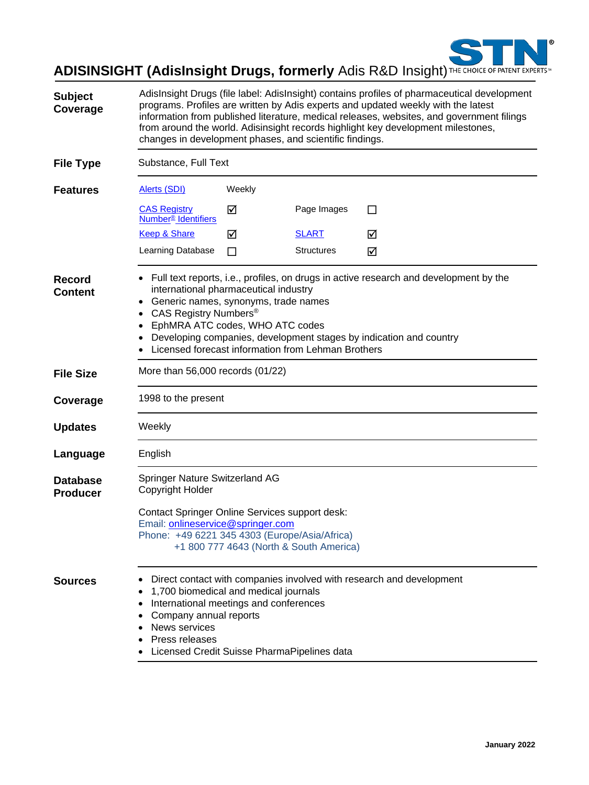

# **ADISINSIGHT (AdisInsight Drugs, formerly** Adis R&D Insight) THE CHOICE OF PATENT EXPERTS

| <b>Subject</b><br>Coverage         | AdisInsight Drugs (file label: AdisInsight) contains profiles of pharmaceutical development<br>programs. Profiles are written by Adis experts and updated weekly with the latest<br>information from published literature, medical releases, websites, and government filings<br>from around the world. Adisinsight records highlight key development milestones,<br>changes in development phases, and scientific findings. |        |                   |                                                                      |
|------------------------------------|------------------------------------------------------------------------------------------------------------------------------------------------------------------------------------------------------------------------------------------------------------------------------------------------------------------------------------------------------------------------------------------------------------------------------|--------|-------------------|----------------------------------------------------------------------|
| <b>File Type</b>                   | Substance, Full Text                                                                                                                                                                                                                                                                                                                                                                                                         |        |                   |                                                                      |
| <b>Features</b>                    | <b>Alerts (SDI)</b>                                                                                                                                                                                                                                                                                                                                                                                                          | Weekly |                   |                                                                      |
|                                    | <b>CAS Registry</b><br>Number <sup>®</sup> Identifiers                                                                                                                                                                                                                                                                                                                                                                       | ☑      | Page Images       | $\mathsf{L}$                                                         |
|                                    | <b>Keep &amp; Share</b>                                                                                                                                                                                                                                                                                                                                                                                                      | ☑      | <b>SLART</b>      | ☑                                                                    |
|                                    | Learning Database                                                                                                                                                                                                                                                                                                                                                                                                            | П      | <b>Structures</b> | ☑                                                                    |
| <b>Record</b><br><b>Content</b>    | • Full text reports, i.e., profiles, on drugs in active research and development by the<br>international pharmaceutical industry<br>Generic names, synonyms, trade names<br>CAS Registry Numbers <sup>®</sup><br>٠<br>EphMRA ATC codes, WHO ATC codes<br>٠<br>Developing companies, development stages by indication and country<br>Licensed forecast information from Lehman Brothers                                       |        |                   |                                                                      |
| <b>File Size</b>                   | More than 56,000 records (01/22)                                                                                                                                                                                                                                                                                                                                                                                             |        |                   |                                                                      |
| Coverage                           | 1998 to the present                                                                                                                                                                                                                                                                                                                                                                                                          |        |                   |                                                                      |
| <b>Updates</b>                     | Weekly                                                                                                                                                                                                                                                                                                                                                                                                                       |        |                   |                                                                      |
| Language                           | English                                                                                                                                                                                                                                                                                                                                                                                                                      |        |                   |                                                                      |
| <b>Database</b><br><b>Producer</b> | Springer Nature Switzerland AG<br>Copyright Holder<br><b>Contact Springer Online Services support desk:</b><br>Email: onlineservice@springer.com<br>Phone: +49 6221 345 4303 (Europe/Asia/Africa)<br>+1 800 777 4643 (North & South America)                                                                                                                                                                                 |        |                   |                                                                      |
|                                    |                                                                                                                                                                                                                                                                                                                                                                                                                              |        |                   |                                                                      |
| <b>Sources</b>                     | 1,700 biomedical and medical journals<br>International meetings and conferences<br>Company annual reports<br><b>News services</b><br>Press releases<br>Licensed Credit Suisse PharmaPipelines data                                                                                                                                                                                                                           |        |                   | Direct contact with companies involved with research and development |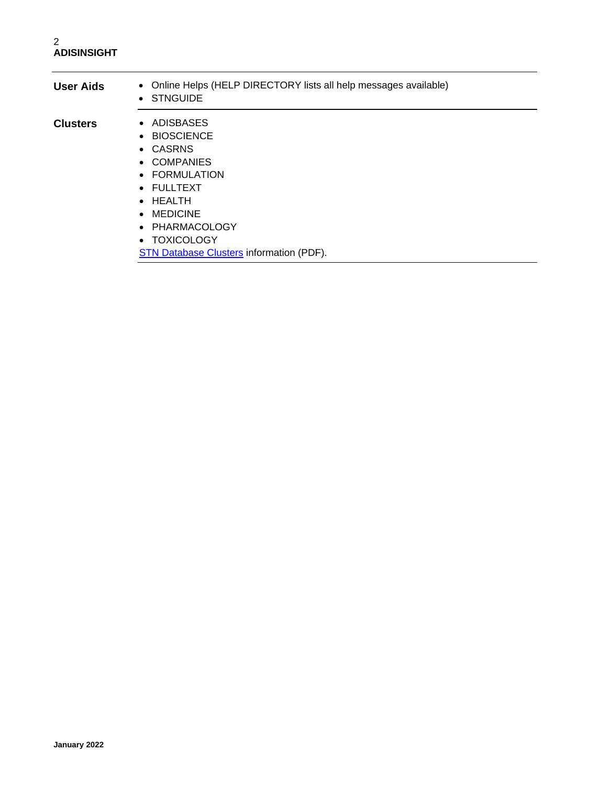| <b>User Aids</b> | • Online Helps (HELP DIRECTORY lists all help messages available)<br>• STNGUIDE                                                                                                                               |  |
|------------------|---------------------------------------------------------------------------------------------------------------------------------------------------------------------------------------------------------------|--|
| <b>Clusters</b>  | • ADISBASES<br>• BIOSCIENCE<br>• CASRNS<br>• COMPANIES<br>• FORMULATION<br>• FULLTEXT<br>$\bullet$ HEALTH<br>$\bullet$ MEDICINE<br>• PHARMACOLOGY<br>• TOXICOLOGY<br>STN Database Clusters information (PDF). |  |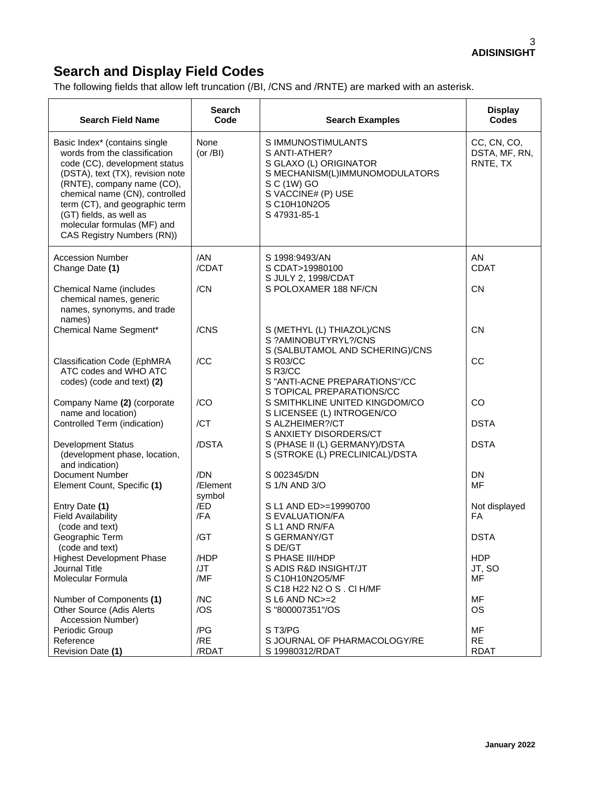## **Search and Display Field Codes**

The following fields that allow left truncation (/BI, /CNS and /RNTE) are marked with an asterisk.

| <b>Search Field Name</b>                                                                                                                                                                                                                                                                                                      | <b>Search</b><br>Code     | <b>Search Examples</b>                                                                                                                                               | <b>Display</b><br><b>Codes</b>           |
|-------------------------------------------------------------------------------------------------------------------------------------------------------------------------------------------------------------------------------------------------------------------------------------------------------------------------------|---------------------------|----------------------------------------------------------------------------------------------------------------------------------------------------------------------|------------------------------------------|
| Basic Index* (contains single<br>words from the classification<br>code (CC), development status<br>(DSTA), text (TX), revision note<br>(RNTE), company name (CO),<br>chemical name (CN), controlled<br>term (CT), and geographic term<br>(GT) fields, as well as<br>molecular formulas (MF) and<br>CAS Registry Numbers (RN)) | None<br>(or $/BI$ )       | S IMMUNOSTIMULANTS<br>S ANTI-ATHER?<br>S GLAXO (L) ORIGINATOR<br>S MECHANISM(L)IMMUNOMODULATORS<br>S C (1W) GO<br>S VACCINE# (P) USE<br>S C10H10N2O5<br>S 47931-85-1 | CC, CN, CO,<br>DSTA, MF, RN,<br>RNTE, TX |
| <b>Accession Number</b><br>Change Date (1)                                                                                                                                                                                                                                                                                    | /AN<br>/CDAT              | S 1998:9493/AN<br>S CDAT>19980100<br>S JULY 2, 1998/CDAT                                                                                                             | AN<br><b>CDAT</b>                        |
| <b>Chemical Name (includes</b><br>chemical names, generic<br>names, synonyms, and trade<br>names)                                                                                                                                                                                                                             | /CN                       | S POLOXAMER 188 NF/CN                                                                                                                                                | <b>CN</b>                                |
| Chemical Name Segment*                                                                                                                                                                                                                                                                                                        | /CNS                      | S (METHYL (L) THIAZOL)/CNS<br>S ?AMINOBUTYRYL?/CNS<br>S (SALBUTAMOL AND SCHERING)/CNS                                                                                | <b>CN</b>                                |
| <b>Classification Code (EphMRA</b><br>ATC codes and WHO ATC<br>codes) (code and text) (2)                                                                                                                                                                                                                                     | /CC                       | S R03/CC<br>S R3/CC<br>S "ANTI-ACNE PREPARATIONS"/CC<br>S TOPICAL PREPARATIONS/CC                                                                                    | CC                                       |
| Company Name (2) (corporate<br>name and location)                                                                                                                                                                                                                                                                             | /CO                       | S SMITHKLINE UNITED KINGDOM/CO<br>S LICENSEE (L) INTROGEN/CO                                                                                                         | CO                                       |
| Controlled Term (indication)                                                                                                                                                                                                                                                                                                  | /CT                       | S ALZHEIMER?/CT<br>S ANXIETY DISORDERS/CT                                                                                                                            | <b>DSTA</b>                              |
| <b>Development Status</b><br>(development phase, location,<br>and indication)                                                                                                                                                                                                                                                 | /DSTA                     | S (PHASE II (L) GERMANY)/DSTA<br>S (STROKE (L) PRECLINICAL)/DSTA                                                                                                     | <b>DSTA</b>                              |
| <b>Document Number</b><br>Element Count, Specific (1)                                                                                                                                                                                                                                                                         | /DN<br>/Element<br>symbol | S 002345/DN<br>S 1/N AND 3/O                                                                                                                                         | <b>DN</b><br>MF                          |
| Entry Date (1)<br><b>Field Availability</b><br>(code and text)                                                                                                                                                                                                                                                                | /ED<br>/FA                | S L1 AND ED>=19990700<br>S EVALUATION/FA<br>SL1 AND RN/FA                                                                                                            | Not displayed<br><b>FA</b>               |
| Geographic Term<br>(code and text)                                                                                                                                                                                                                                                                                            | /GT                       | S GERMANY/GT<br>S DE/GT                                                                                                                                              | <b>DSTA</b>                              |
| <b>Highest Development Phase</b>                                                                                                                                                                                                                                                                                              | /HDP                      | S PHASE III/HDP                                                                                                                                                      | <b>HDP</b>                               |
| Journal Title                                                                                                                                                                                                                                                                                                                 | /JT                       | S ADIS R&D INSIGHT/JT                                                                                                                                                | JT, SO                                   |
| Molecular Formula                                                                                                                                                                                                                                                                                                             | /MF                       | S C10H10N2O5/MF<br>S C18 H22 N2 O S . CI H/MF                                                                                                                        | <b>MF</b>                                |
| Number of Components (1)                                                                                                                                                                                                                                                                                                      | /NC                       | $S$ L6 AND NC $>=$ 2                                                                                                                                                 | MF                                       |
| <b>Other Source (Adis Alerts</b><br>Accession Number)                                                                                                                                                                                                                                                                         | /OS                       | S "800007351"/OS                                                                                                                                                     | <b>OS</b>                                |
| Periodic Group                                                                                                                                                                                                                                                                                                                | /PG                       | ST3/PG                                                                                                                                                               | MF                                       |
| Reference                                                                                                                                                                                                                                                                                                                     | /RE                       | S JOURNAL OF PHARMACOLOGY/RE                                                                                                                                         | <b>RE</b>                                |
| Revision Date (1)                                                                                                                                                                                                                                                                                                             | /RDAT                     | S 19980312/RDAT                                                                                                                                                      | <b>RDAT</b>                              |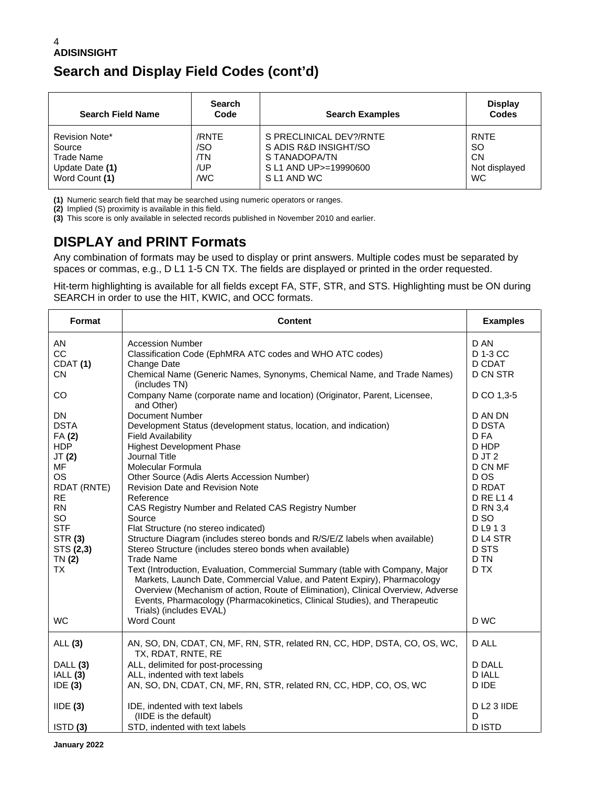## **Search and Display Field Codes (cont'd)**

| <b>Search Field Name</b> | <b>Search</b><br>Code | <b>Search Examples</b>  | <b>Display</b><br><b>Codes</b> |
|--------------------------|-----------------------|-------------------------|--------------------------------|
| Revision Note*           | /RNTE                 | S PRECLINICAL DEV?/RNTE | <b>RNTE</b>                    |
| Source                   | /SO                   | S ADIS R&D INSIGHT/SO   | <b>SO</b>                      |
| Trade Name               | ΊN                    | S TANADOPA/TN           | <b>CN</b>                      |
| Update Date (1)          | /UP                   | S L1 AND UP>=19990600   | Not displayed                  |
| Word Count (1)           | /WC                   | S L1 AND WC             | <b>WC</b>                      |

**(1)** Numeric search field that may be searched using numeric operators or ranges.

**(2)** Implied (S) proximity is available in this field.

**(3)** This score is only available in selected records published in November 2010 and earlier.

## **DISPLAY and PRINT Formats**

Any combination of formats may be used to display or print answers. Multiple codes must be separated by spaces or commas, e.g., D L1 1-5 CN TX. The fields are displayed or printed in the order requested.

Hit-term highlighting is available for all fields except FA, STF, STR, and STS. Highlighting must be ON during SEARCH in order to use the HIT, KWIC, and OCC formats.

| Format                                                                                                                                                                                               | <b>Content</b>                                                                                                                                                                                                                                                                                                                                                                                                                                                                                                                                                                                                                                                                                                                                                                                                                                                                                           | <b>Examples</b>                                                                                                                                                                                              |
|------------------------------------------------------------------------------------------------------------------------------------------------------------------------------------------------------|----------------------------------------------------------------------------------------------------------------------------------------------------------------------------------------------------------------------------------------------------------------------------------------------------------------------------------------------------------------------------------------------------------------------------------------------------------------------------------------------------------------------------------------------------------------------------------------------------------------------------------------------------------------------------------------------------------------------------------------------------------------------------------------------------------------------------------------------------------------------------------------------------------|--------------------------------------------------------------------------------------------------------------------------------------------------------------------------------------------------------------|
| AN<br>CC<br>CDAT <sub>(1)</sub><br><b>CN</b>                                                                                                                                                         | <b>Accession Number</b><br>Classification Code (EphMRA ATC codes and WHO ATC codes)<br>Change Date<br>Chemical Name (Generic Names, Synonyms, Chemical Name, and Trade Names)<br>(includes TN)                                                                                                                                                                                                                                                                                                                                                                                                                                                                                                                                                                                                                                                                                                           | D AN<br>D 1-3 CC<br>D CDAT<br><b>D CN STR</b>                                                                                                                                                                |
| <b>CO</b>                                                                                                                                                                                            | Company Name (corporate name and location) (Originator, Parent, Licensee,<br>and Other)                                                                                                                                                                                                                                                                                                                                                                                                                                                                                                                                                                                                                                                                                                                                                                                                                  | D CO 1,3-5                                                                                                                                                                                                   |
| <b>DN</b><br><b>DSTA</b><br>FA(2)<br><b>HDP</b><br>JT(2)<br>MF<br><b>OS</b><br><b>RDAT (RNTE)</b><br><b>RE</b><br><b>RN</b><br>SO<br><b>STF</b><br><b>STR (3)</b><br>STS (2,3)<br>TN(2)<br><b>TX</b> | Document Number<br>Development Status (development status, location, and indication)<br><b>Field Availability</b><br><b>Highest Development Phase</b><br>Journal Title<br>Molecular Formula<br>Other Source (Adis Alerts Accession Number)<br><b>Revision Date and Revision Note</b><br>Reference<br>CAS Registry Number and Related CAS Registry Number<br>Source<br>Flat Structure (no stereo indicated)<br>Structure Diagram (includes stereo bonds and R/S/E/Z labels when available)<br>Stereo Structure (includes stereo bonds when available)<br><b>Trade Name</b><br>Text (Introduction, Evaluation, Commercial Summary (table with Company, Major<br>Markets, Launch Date, Commercial Value, and Patent Expiry), Pharmacology<br>Overview (Mechanism of action, Route of Elimination), Clinical Overview, Adverse<br>Events, Pharmacology (Pharmacokinetics, Clinical Studies), and Therapeutic | D AN DN<br><b>D DSTA</b><br>D FA<br>D HDP<br>DJT <sub>2</sub><br>D CN MF<br>D OS<br><b>D RDAT</b><br><b>D RE L14</b><br>D RN 3,4<br>D <sub>SO</sub><br>DL913<br>D <sub>L4</sub> STR<br>D STS<br>D TN<br>D TX |
| <b>WC</b>                                                                                                                                                                                            | Trials) (includes EVAL)<br><b>Word Count</b>                                                                                                                                                                                                                                                                                                                                                                                                                                                                                                                                                                                                                                                                                                                                                                                                                                                             | D WC                                                                                                                                                                                                         |
| ALL (3)                                                                                                                                                                                              | AN, SO, DN, CDAT, CN, MF, RN, STR, related RN, CC, HDP, DSTA, CO, OS, WC,<br>TX, RDAT, RNTE, RE                                                                                                                                                                                                                                                                                                                                                                                                                                                                                                                                                                                                                                                                                                                                                                                                          | D ALL                                                                                                                                                                                                        |
| DALL (3)<br>IALL(3)<br>IDE(3)                                                                                                                                                                        | ALL, delimited for post-processing<br>ALL, indented with text labels<br>AN, SO, DN, CDAT, CN, MF, RN, STR, related RN, CC, HDP, CO, OS, WC                                                                                                                                                                                                                                                                                                                                                                                                                                                                                                                                                                                                                                                                                                                                                               | <b>D DALL</b><br><b>DIALL</b><br>D IDE                                                                                                                                                                       |
| IIDE(3)<br>ISTD(3)                                                                                                                                                                                   | IDE, indented with text labels<br>(IIDE is the default)<br>STD, indented with text labels                                                                                                                                                                                                                                                                                                                                                                                                                                                                                                                                                                                                                                                                                                                                                                                                                | DL2 3 IIDE<br>D<br><b>DISTD</b>                                                                                                                                                                              |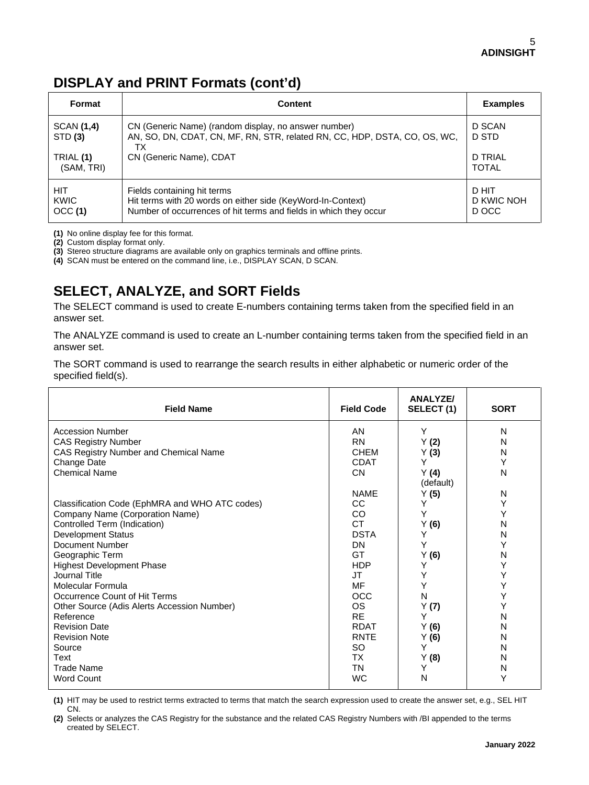## **DISPLAY and PRINT Formats (cont'd)**

| Format                             | <b>Content</b>                                                                                                                                                     | <b>Examples</b>              |
|------------------------------------|--------------------------------------------------------------------------------------------------------------------------------------------------------------------|------------------------------|
| SCAN (1,4)<br>STD (3)<br>TRIAL (1) | CN (Generic Name) (random display, no answer number)<br>AN, SO, DN, CDAT, CN, MF, RN, STR, related RN, CC, HDP, DSTA, CO, OS, WC,<br>ТX<br>CN (Generic Name), CDAT | D SCAN<br>D STD<br>D TRIAL   |
| (SAM, TRI)                         |                                                                                                                                                                    | <b>TOTAL</b>                 |
| <b>HIT</b><br>KWIC<br>OCC(1)       | Fields containing hit terms<br>Hit terms with 20 words on either side (KeyWord-In-Context)<br>Number of occurrences of hit terms and fields in which they occur    | D HIT<br>D KWIC NOH<br>D OCC |

**(1)** No online display fee for this format.

**(2)** Custom display format only.

**(3)** Stereo structure diagrams are available only on graphics terminals and offline prints.

**(4)** SCAN must be entered on the command line, i.e., DISPLAY SCAN, D SCAN.

## **SELECT, ANALYZE, and SORT Fields**

The SELECT command is used to create E-numbers containing terms taken from the specified field in an answer set.

The ANALYZE command is used to create an L-number containing terms taken from the specified field in an answer set.

The SORT command is used to rearrange the search results in either alphabetic or numeric order of the specified field(s).

| <b>Field Name</b>                              | <b>Field Code</b> | <b>ANALYZE/</b><br>SELECT (1) | <b>SORT</b> |
|------------------------------------------------|-------------------|-------------------------------|-------------|
| Accession Number                               | AN                | Υ                             | N           |
| <b>CAS Registry Number</b>                     | <b>RN</b>         | Y(2)                          | N           |
| CAS Registry Number and Chemical Name          | <b>CHEM</b>       | Y(3)                          | N           |
| Change Date                                    | <b>CDAT</b>       | Υ                             | Y           |
| <b>Chemical Name</b>                           | <b>CN</b>         | Y(4)                          | N           |
|                                                |                   | (default)                     |             |
|                                                | <b>NAME</b>       | Y(5)                          | N           |
| Classification Code (EphMRA and WHO ATC codes) | <b>CC</b>         | Y                             | Y           |
| Company Name (Corporation Name)                | CO.               | Υ                             | Υ           |
| Controlled Term (Indication)                   | <b>CT</b>         | Y(6)                          | N           |
| <b>Development Status</b>                      | <b>DSTA</b>       | Υ                             | N           |
| Document Number                                | DN                | Υ                             | Y           |
| Geographic Term                                | GT                | Y(6)                          | N           |
| <b>Highest Development Phase</b>               | <b>HDP</b>        | Y                             | Y           |
| Journal Title                                  | JT                | Υ                             | Y           |
| Molecular Formula                              | MF                | Y                             | Y           |
| Occurrence Count of Hit Terms                  | <b>OCC</b>        | N                             | Y           |
| Other Source (Adis Alerts Accession Number)    | <b>OS</b>         | Y(7)                          | Y           |
| Reference                                      | <b>RE</b>         | Υ                             | Ν           |
| <b>Revision Date</b>                           | <b>RDAT</b>       | Y(6)                          | N           |
| <b>Revision Note</b>                           | <b>RNTE</b>       | Y(6)                          | N           |
| Source                                         | <b>SO</b>         | Υ                             | N           |
| Text                                           | тx                | Y(8)                          | N           |
| <b>Trade Name</b>                              | TN                | Υ                             | N           |
| <b>Word Count</b>                              | <b>WC</b>         | N                             | Υ           |

**(1)** HIT may be used to restrict terms extracted to terms that match the search expression used to create the answer set, e.g., SEL HIT CN.

**(2)** Selects or analyzes the CAS Registry for the substance and the related CAS Registry Numbers with /BI appended to the terms created by SELECT.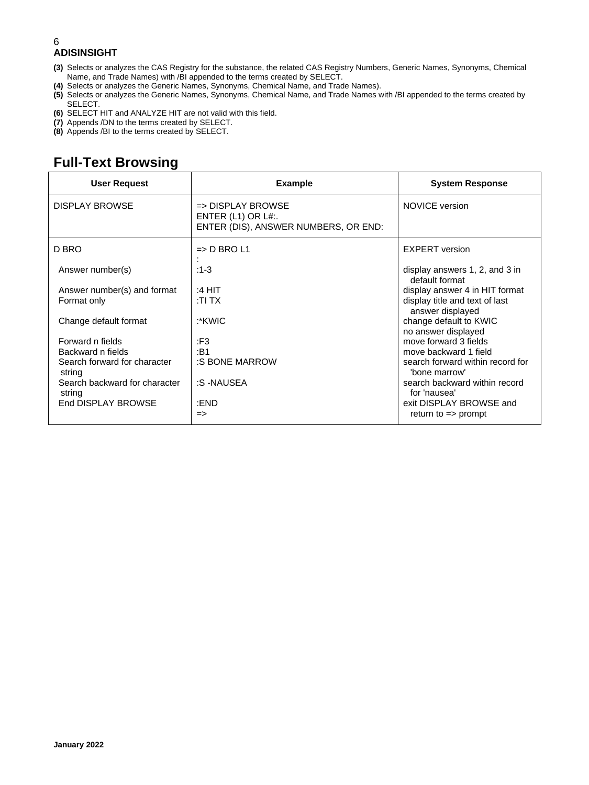- **(3)** Selects or analyzes the CAS Registry for the substance, the related CAS Registry Numbers, Generic Names, Synonyms, Chemical Name, and Trade Names) with /BI appended to the terms created by SELECT.
- **(4)** Selects or analyzes the Generic Names, Synonyms, Chemical Name, and Trade Names).
- **(5)** Selects or analyzes the Generic Names, Synonyms, Chemical Name, and Trade Names with /BI appended to the terms created by SELECT.
- **(6)** SELECT HIT and ANALYZE HIT are not valid with this field.
- **(7)** Appends /DN to the terms created by SELECT.
- **(8)** Appends /BI to the terms created by SELECT.

## **Full-Text Browsing**

| <b>User Request</b>                     | <b>Example</b>                                                                                 | <b>System Response</b>                             |
|-----------------------------------------|------------------------------------------------------------------------------------------------|----------------------------------------------------|
| <b>DISPLAY BROWSE</b>                   | $\Rightarrow$ DISPLAY BROWSE<br>ENTER $(L1)$ OR $L#$ :<br>ENTER (DIS), ANSWER NUMBERS, OR END: | <b>NOVICE</b> version                              |
| D BRO                                   | $\Rightarrow$ D BRO L1                                                                         | <b>EXPERT</b> version                              |
| Answer number(s)                        | $:1-3$                                                                                         | display answers 1, 2, and 3 in<br>default format   |
| Answer number(s) and format             | :4 HIT                                                                                         | display answer 4 in HIT format                     |
| Format only                             | :TI TX                                                                                         | display title and text of last<br>answer displayed |
| Change default format                   | :*KWIC                                                                                         | change default to KWIC<br>no answer displayed      |
| Forward n fields                        | :F3                                                                                            | move forward 3 fields                              |
| Backward n fields                       | :B1                                                                                            | move backward 1 field                              |
| Search forward for character<br>string  | :S BONE MARROW                                                                                 | search forward within record for<br>'bone marrow'  |
| Search backward for character<br>string | :S-NAUSEA                                                                                      | search backward within record<br>for 'nausea'      |
| End DISPLAY BROWSE                      | :END                                                                                           | exit DISPLAY BROWSE and                            |
|                                         | $\Rightarrow$                                                                                  | return to $\Rightarrow$ prompt                     |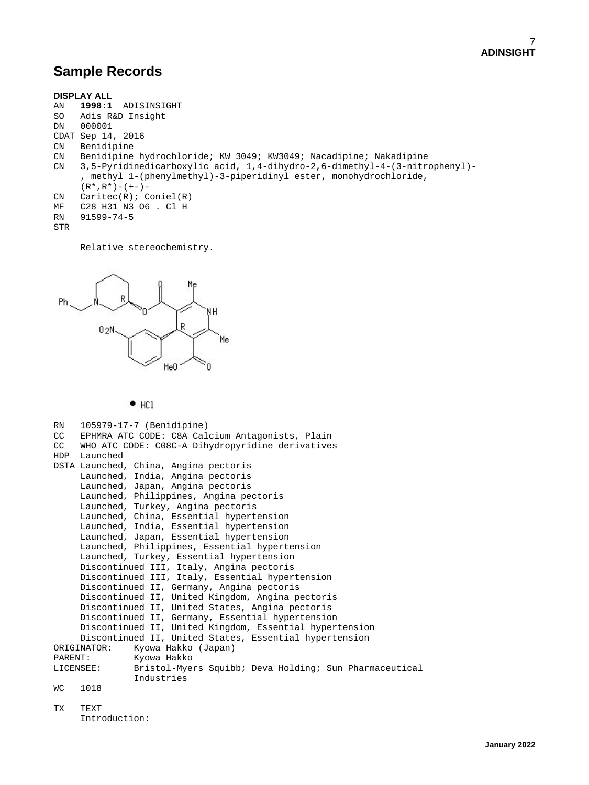## **Sample Records**

```
DISPLAY ALL
AN 1998:1 ADISINSIGHT
SO Adis R&D Insight<br>DN 000001
      000001
CDAT Sep 14, 2016<br>CN Benidipine
CN Benidipine<br>CN Benidipine
CN Benidipine hydrochloride; KW 3049; KW3049; Nacadipine; Nakadipine
      CN 3,5-Pyridinedicarboxylic acid, 1,4-dihydro-2,6-dimethyl-4-(3-nitrophenyl)-
        , methyl 1-(phenylmethyl)-3-piperidinyl ester, monohydrochloride,
(R*, R^*) - (+-) -<br>CN Caritec(R); C
CN Caritec(R); Coniel(R)<br>MF C28 H31 N3 O6 . Cl H
MF C28 H31 N3 O6 . Cl H<br>RN 91599-74-5
      RN 91599-74-5
STR
```
Relative stereochemistry.



 $+$  HCl

```
RN 105979-17-7 (Benidipine)<br>CC EPHMRA ATC CODE: C8A Cal
CC EPHMRA ATC CODE: C8A Calcium Antagonists, Plain
     WHO ATC CODE: C08C-A Dihydropyridine derivatives
HDP Launched
DSTA Launched, China, Angina pectoris
      Launched, India, Angina pectoris
      Launched, Japan, Angina pectoris
      Launched, Philippines, Angina pectoris
      Launched, Turkey, Angina pectoris
      Launched, China, Essential hypertension
      Launched, India, Essential hypertension
      Launched, Japan, Essential hypertension
      Launched, Philippines, Essential hypertension
      Launched, Turkey, Essential hypertension
      Discontinued III, Italy, Angina pectoris
      Discontinued III, Italy, Essential hypertension
      Discontinued II, Germany, Angina pectoris
      Discontinued II, United Kingdom, Angina pectoris
      Discontinued II, United States, Angina pectoris
      Discontinued II, Germany, Essential hypertension
      Discontinued II, United Kingdom, Essential hypertension
Discontinued II, United States, Essential hypertension<br>ORIGINATOR: Kyowa Hakko (Japan)
ORIGINATOR: Kyowa Hakko (Japan)
PARENT: Kyowa Hakko<br>LICENSEE: Bristol-Mye:
                Bristol-Myers Squibb; Deva Holding; Sun Pharmaceutical
Industries<br>WC 1018
     1018
TX TEXT
      Introduction:
```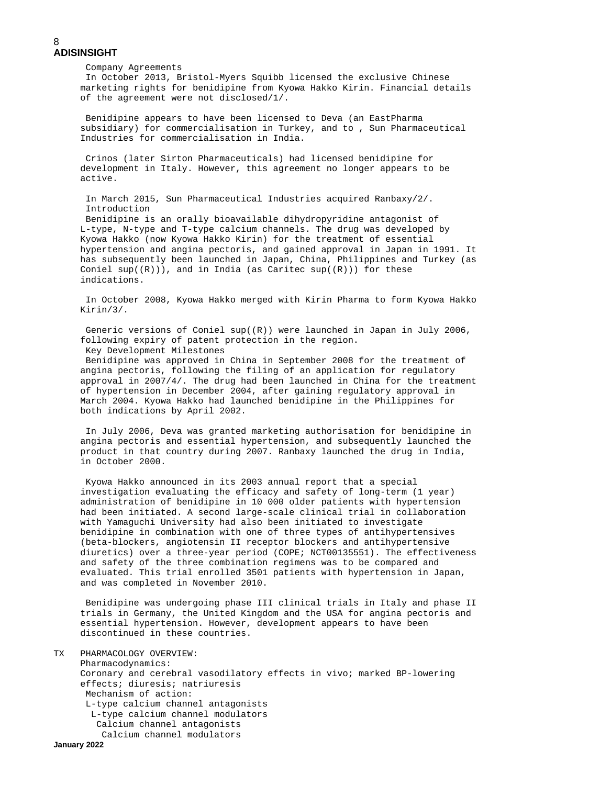Company Agreements In October 2013, Bristol-Myers Squibb licensed the exclusive Chinese marketing rights for benidipine from Kyowa Hakko Kirin. Financial details of the agreement were not disclosed/1/.

 Benidipine appears to have been licensed to Deva (an EastPharma subsidiary) for commercialisation in Turkey, and to , Sun Pharmaceutical Industries for commercialisation in India.

 Crinos (later Sirton Pharmaceuticals) had licensed benidipine for development in Italy. However, this agreement no longer appears to be active.

 In March 2015, Sun Pharmaceutical Industries acquired Ranbaxy/2/. Introduction

 Benidipine is an orally bioavailable dihydropyridine antagonist of L-type, N-type and T-type calcium channels. The drug was developed by Kyowa Hakko (now Kyowa Hakko Kirin) for the treatment of essential hypertension and angina pectoris, and gained approval in Japan in 1991. It has subsequently been launched in Japan, China, Philippines and Turkey (as Coniel  $sup((R))$ , and in India (as Caritec  $sup((R))$ ) for these indications.

 In October 2008, Kyowa Hakko merged with Kirin Pharma to form Kyowa Hakko Kirin/3/.

 Generic versions of Coniel sup((R)) were launched in Japan in July 2006, following expiry of patent protection in the region. Key Development Milestones

 Benidipine was approved in China in September 2008 for the treatment of angina pectoris, following the filing of an application for regulatory approval in 2007/4/. The drug had been launched in China for the treatment of hypertension in December 2004, after gaining regulatory approval in March 2004. Kyowa Hakko had launched benidipine in the Philippines for both indications by April 2002.

 In July 2006, Deva was granted marketing authorisation for benidipine in angina pectoris and essential hypertension, and subsequently launched the product in that country during 2007. Ranbaxy launched the drug in India, in October 2000.

 Kyowa Hakko announced in its 2003 annual report that a special investigation evaluating the efficacy and safety of long-term (1 year) administration of benidipine in 10 000 older patients with hypertension had been initiated. A second large-scale clinical trial in collaboration with Yamaguchi University had also been initiated to investigate benidipine in combination with one of three types of antihypertensives (beta-blockers, angiotensin II receptor blockers and antihypertensive diuretics) over a three-year period (COPE; NCT00135551). The effectiveness and safety of the three combination regimens was to be compared and evaluated. This trial enrolled 3501 patients with hypertension in Japan, and was completed in November 2010.

 Benidipine was undergoing phase III clinical trials in Italy and phase II trials in Germany, the United Kingdom and the USA for angina pectoris and essential hypertension. However, development appears to have been discontinued in these countries.

#### TX PHARMACOLOGY OVERVIEW:

 Pharmacodynamics: Coronary and cerebral vasodilatory effects in vivo; marked BP-lowering effects; diuresis; natriuresis Mechanism of action: L-type calcium channel antagonists L-type calcium channel modulators Calcium channel antagonists Calcium channel modulators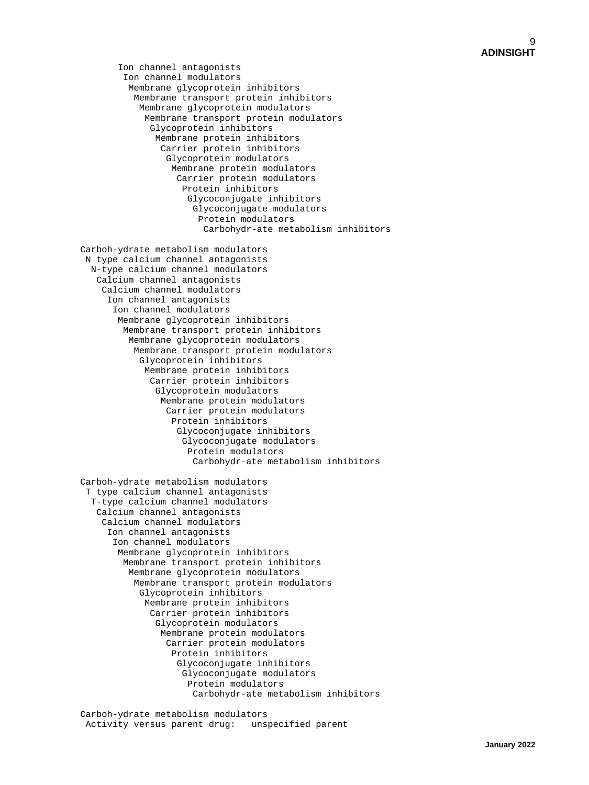Ion channel antagonists Ion channel modulators Membrane glycoprotein inhibitors Membrane transport protein inhibitors Membrane glycoprotein modulators Membrane transport protein modulators Glycoprotein inhibitors Membrane protein inhibitors Carrier protein inhibitors Glycoprotein modulators Membrane protein modulators Carrier protein modulators Protein inhibitors Glycoconjugate inhibitors Glycoconjugate modulators Protein modulators Carbohydr-ate metabolism inhibitors

 Carboh-ydrate metabolism modulators N type calcium channel antagonists N-type calcium channel modulators Calcium channel antagonists Calcium channel modulators Ion channel antagonists Ion channel modulators Membrane glycoprotein inhibitors Membrane transport protein inhibitors Membrane glycoprotein modulators Membrane transport protein modulators Glycoprotein inhibitors Membrane protein inhibitors Carrier protein inhibitors Glycoprotein modulators Membrane protein modulators Carrier protein modulators Protein inhibitors Glycoconjugate inhibitors Glycoconjugate modulators Protein modulators Carbohydr-ate metabolism inhibitors

 Carboh-ydrate metabolism modulators T type calcium channel antagonists T-type calcium channel modulators Calcium channel antagonists Calcium channel modulators Ion channel antagonists Ion channel modulators Membrane glycoprotein inhibitors Membrane transport protein inhibitors Membrane glycoprotein modulators Membrane transport protein modulators Glycoprotein inhibitors Membrane protein inhibitors Carrier protein inhibitors Glycoprotein modulators Membrane protein modulators Carrier protein modulators Protein inhibitors Glycoconjugate inhibitors Glycoconjugate modulators Protein modulators Carbohydr-ate metabolism inhibitors

Carboh-ydrate metabolism modulators<br>Activity versus parent drug: unspecified parent Activity versus parent drug: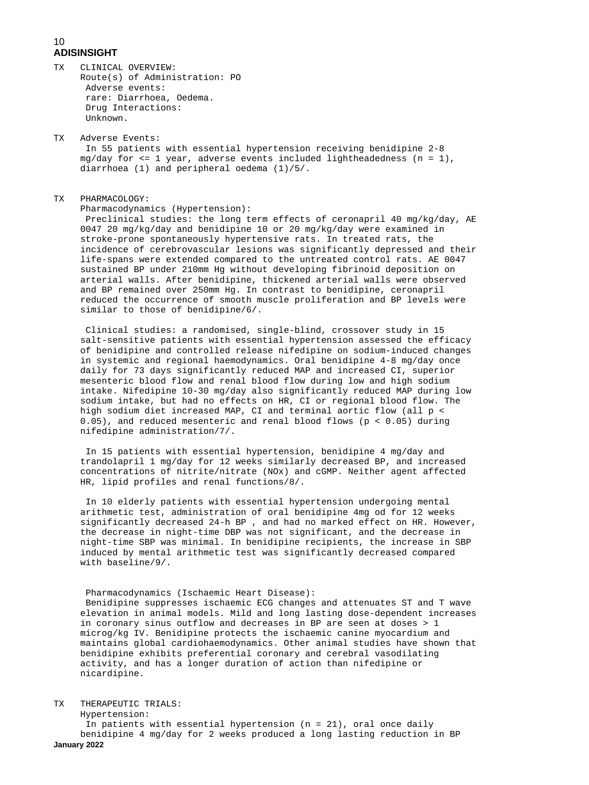- TX CLINICAL OVERVIEW: Route(s) of Administration: PO Adverse events: rare: Diarrhoea, Oedema. Drug Interactions: Unknown.
- TX Adverse Events: In 55 patients with essential hypertension receiving benidipine 2-8 mg/day for <= 1 year, adverse events included lightheadedness (n = 1), diarrhoea (1) and peripheral oedema (1)/5/.

#### **TX** PHARMACOLOGY:

Pharmacodynamics (Hypertension):

 Preclinical studies: the long term effects of ceronapril 40 mg/kg/day, AE 0047 20 mg/kg/day and benidipine 10 or 20 mg/kg/day were examined in stroke-prone spontaneously hypertensive rats. In treated rats, the incidence of cerebrovascular lesions was significantly depressed and their life-spans were extended compared to the untreated control rats. AE 0047 sustained BP under 210mm Hg without developing fibrinoid deposition on arterial walls. After benidipine, thickened arterial walls were observed and BP remained over 250mm Hg. In contrast to benidipine, ceronapril reduced the occurrence of smooth muscle proliferation and BP levels were similar to those of benidipine/6/.

 Clinical studies: a randomised, single-blind, crossover study in 15 salt-sensitive patients with essential hypertension assessed the efficacy of benidipine and controlled release nifedipine on sodium-induced changes in systemic and regional haemodynamics. Oral benidipine 4-8 mg/day once daily for 73 days significantly reduced MAP and increased CI, superior mesenteric blood flow and renal blood flow during low and high sodium intake. Nifedipine 10-30 mg/day also significantly reduced MAP during low sodium intake, but had no effects on HR, CI or regional blood flow. The high sodium diet increased MAP, CI and terminal aortic flow (all p < 0.05), and reduced mesenteric and renal blood flows (p < 0.05) during nifedipine administration/7/.

 In 15 patients with essential hypertension, benidipine 4 mg/day and trandolapril 1 mg/day for 12 weeks similarly decreased BP, and increased concentrations of nitrite/nitrate (NOx) and cGMP. Neither agent affected HR, lipid profiles and renal functions/8/.

 In 10 elderly patients with essential hypertension undergoing mental arithmetic test, administration of oral benidipine 4mg od for 12 weeks significantly decreased 24-h BP , and had no marked effect on HR. However, the decrease in night-time DBP was not significant, and the decrease in night-time SBP was minimal. In benidipine recipients, the increase in SBP induced by mental arithmetic test was significantly decreased compared with baseline/9/.

 Pharmacodynamics (Ischaemic Heart Disease): Benidipine suppresses ischaemic ECG changes and attenuates ST and T wave elevation in animal models. Mild and long lasting dose-dependent increases in coronary sinus outflow and decreases in BP are seen at doses > 1 microg/kg IV. Benidipine protects the ischaemic canine myocardium and maintains global cardiohaemodynamics. Other animal studies have shown that benidipine exhibits preferential coronary and cerebral vasodilating activity, and has a longer duration of action than nifedipine or nicardipine.

TX THERAPEUTIC TRIALS:

**January 2022** Hypertension: In patients with essential hypertension (n = 21), oral once daily benidipine 4 mg/day for 2 weeks produced a long lasting reduction in BP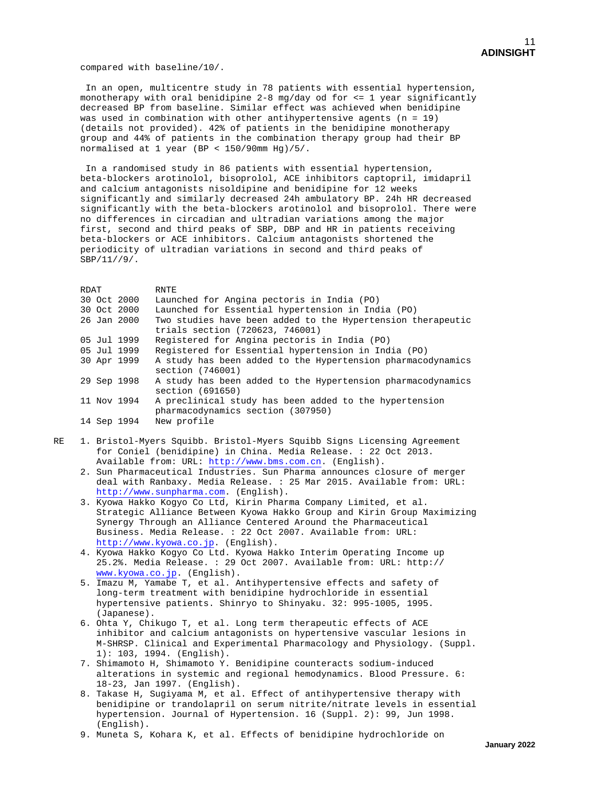compared with baseline/10/.

 In an open, multicentre study in 78 patients with essential hypertension, monotherapy with oral benidipine 2-8 mg/day od for <= 1 year significantly decreased BP from baseline. Similar effect was achieved when benidipine was used in combination with other antihypertensive agents (n = 19) (details not provided). 42% of patients in the benidipine monotherapy group and 44% of patients in the combination therapy group had their BP normalised at 1 year (BP < 150/90mm Hg)/5/.

 In a randomised study in 86 patients with essential hypertension, beta-blockers arotinolol, bisoprolol, ACE inhibitors captopril, imidapril and calcium antagonists nisoldipine and benidipine for 12 weeks significantly and similarly decreased 24h ambulatory BP. 24h HR decreased significantly with the beta-blockers arotinolol and bisoprolol. There were no differences in circadian and ultradian variations among the major first, second and third peaks of SBP, DBP and HR in patients receiving beta-blockers or ACE inhibitors. Calcium antagonists shortened the periodicity of ultradian variations in second and third peaks of SBP/11//9/.

RDAT RNTE<br>30 Oct 2000 Launo Launched for Angina pectoris in India (PO) 30 Oct 2000 Launched for Essential hypertension in India (PO) 26 Jan 2000 Two studies have been added to the Hypertension therapeutic trials section (720623, 746001)<br>O5 Jul 1999 Registered for Angina pectoris 05 Jul 1999 Registered for Angina pectoris in India (PO)<br>05 Jul 1999 Registered for Essential hypertension in Ind 05 Jul 1999 Registered for Essential hypertension in India (PO)<br>30 Apr 1999 A study has been added to the Hypertension pharmaco A study has been added to the Hypertension pharmacodynamics section (746001)<br>29 Sep 1998 A study has been A study has been added to the Hypertension pharmacodynamics section (691650)<br>11 Nov 1994 A preclinical st A preclinical study has been added to the hypertension pharmacodynamics section (307950) 14 Sep 1994

- RE 1. Bristol-Myers Squibb. Bristol-Myers Squibb Signs Licensing Agreement for Coniel (benidipine) in China. Media Release. : 22 Oct 2013. Available from: URL: [http://www.bms.com.cn.](http://www.bms.com.cn/) (English).
- 2. Sun Pharmaceutical Industries. Sun Pharma announces closure of merger deal with Ranbaxy. Media Release. : 25 Mar 2015. Available from: URL: [http://www.sunpharma.com.](http://www.sunpharma.com/) (English).
- 3. Kyowa Hakko Kogyo Co Ltd, Kirin Pharma Company Limited, et al. Strategic Alliance Between Kyowa Hakko Group and Kirin Group Maximizing Synergy Through an Alliance Centered Around the Pharmaceutical Business. Media Release. : 22 Oct 2007. Available from: URL: [http://www.kyowa.co.jp.](http://www.kyowa.co.jp/) (English).
	- 4. Kyowa Hakko Kogyo Co Ltd. Kyowa Hakko Interim Operating Income up 25.2%. Media Release. : 29 Oct 2007. Available from: URL: http:// [www.kyowa.co.jp.](http://www.kyowa.co.jp/) (English).
	- 5. Imazu M, Yamabe T, et al. Antihypertensive effects and safety of long-term treatment with benidipine hydrochloride in essential hypertensive patients. Shinryo to Shinyaku. 32: 995-1005, 1995. (Japanese).
	- 6. Ohta Y, Chikugo T, et al. Long term therapeutic effects of ACE inhibitor and calcium antagonists on hypertensive vascular lesions in M-SHRSP. Clinical and Experimental Pharmacology and Physiology. (Suppl. 1): 103, 1994. (English).
	- 7. Shimamoto H, Shimamoto Y. Benidipine counteracts sodium-induced alterations in systemic and regional hemodynamics. Blood Pressure. 6: 18-23, Jan 1997. (English).
	- 8. Takase H, Sugiyama M, et al. Effect of antihypertensive therapy with benidipine or trandolapril on serum nitrite/nitrate levels in essential hypertension. Journal of Hypertension. 16 (Suppl. 2): 99, Jun 1998. (English).
	- 9. Muneta S, Kohara K, et al. Effects of benidipine hydrochloride on